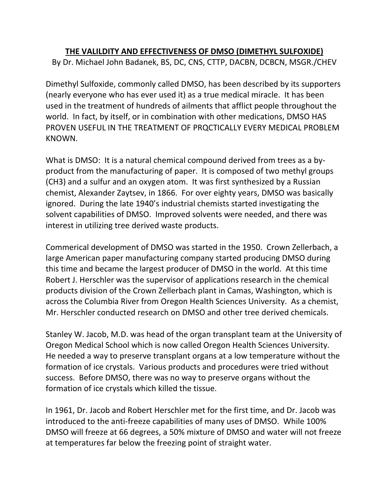## **THE VALILDITY AND EFFECTIVENESS OF DMSO (DIMETHYL SULFOXIDE)**

By Dr. Michael John Badanek, BS, DC, CNS, CTTP, DACBN, DCBCN, MSGR./CHEV

Dimethyl Sulfoxide, commonly called DMSO, has been described by its supporters (nearly everyone who has ever used it) as a true medical miracle. It has been used in the treatment of hundreds of ailments that afflict people throughout the world. In fact, by itself, or in combination with other medications, DMSO HAS PROVEN USEFUL IN THE TREATMENT OF PRQCTICALLY EVERY MEDICAL PROBLEM KNOWN.

What is DMSO: It is a natural chemical compound derived from trees as a byproduct from the manufacturing of paper. It is composed of two methyl groups (CH3) and a sulfur and an oxygen atom. It was first synthesized by a Russian chemist, Alexander Zaytsev, in 1866. For over eighty years, DMSO was basically ignored. During the late 1940's industrial chemists started investigating the solvent capabilities of DMSO. Improved solvents were needed, and there was interest in utilizing tree derived waste products.

Commerical development of DMSO was started in the 1950. Crown Zellerbach, a large American paper manufacturing company started producing DMSO during this time and became the largest producer of DMSO in the world. At this time Robert J. Herschler was the supervisor of applications research in the chemical products division of the Crown Zellerbach plant in Camas, Washington, which is across the Columbia River from Oregon Health Sciences University. As a chemist, Mr. Herschler conducted research on DMSO and other tree derived chemicals.

Stanley W. Jacob, M.D. was head of the organ transplant team at the University of Oregon Medical School which is now called Oregon Health Sciences University. He needed a way to preserve transplant organs at a low temperature without the formation of ice crystals. Various products and procedures were tried without success. Before DMSO, there was no way to preserve organs without the formation of ice crystals which killed the tissue.

In 1961, Dr. Jacob and Robert Herschler met for the first time, and Dr. Jacob was introduced to the anti-freeze capabilities of many uses of DMSO. While 100% DMSO will freeze at 66 degrees, a 50% mixture of DMSO and water will not freeze at temperatures far below the freezing point of straight water.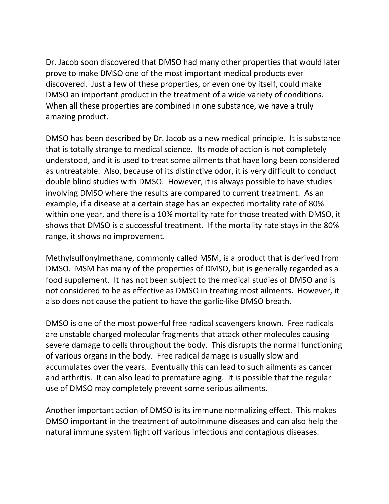Dr. Jacob soon discovered that DMSO had many other properties that would later prove to make DMSO one of the most important medical products ever discovered. Just a few of these properties, or even one by itself, could make DMSO an important product in the treatment of a wide variety of conditions. When all these properties are combined in one substance, we have a truly amazing product.

DMSO has been described by Dr. Jacob as a new medical principle. It is substance that is totally strange to medical science. Its mode of action is not completely understood, and it is used to treat some ailments that have long been considered as untreatable. Also, because of its distinctive odor, it is very difficult to conduct double blind studies with DMSO. However, it is always possible to have studies involving DMSO where the results are compared to current treatment. As an example, if a disease at a certain stage has an expected mortality rate of 80% within one year, and there is a 10% mortality rate for those treated with DMSO, it shows that DMSO is a successful treatment. If the mortality rate stays in the 80% range, it shows no improvement.

Methylsulfonylmethane, commonly called MSM, is a product that is derived from DMSO. MSM has many of the properties of DMSO, but is generally regarded as a food supplement. It has not been subject to the medical studies of DMSO and is not considered to be as effective as DMSO in treating most ailments. However, it also does not cause the patient to have the garlic-like DMSO breath.

DMSO is one of the most powerful free radical scavengers known. Free radicals are unstable charged molecular fragments that attack other molecules causing severe damage to cells throughout the body. This disrupts the normal functioning of various organs in the body. Free radical damage is usually slow and accumulates over the years. Eventually this can lead to such ailments as cancer and arthritis. It can also lead to premature aging. It is possible that the regular use of DMSO may completely prevent some serious ailments.

Another important action of DMSO is its immune normalizing effect. This makes DMSO important in the treatment of autoimmune diseases and can also help the natural immune system fight off various infectious and contagious diseases.